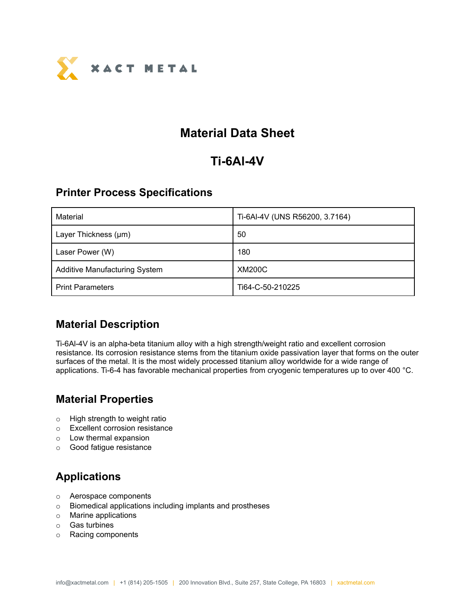

## **Material Data Sheet**

# **Ti-6Al-4V**

#### **Printer Process Specifications**

| Material                             | Ti-6Al-4V (UNS R56200, 3.7164) |
|--------------------------------------|--------------------------------|
| Layer Thickness (µm)                 | 50                             |
| Laser Power (W)                      | 180                            |
| <b>Additive Manufacturing System</b> | <b>XM200C</b>                  |
| <b>Print Parameters</b>              | Ti64-C-50-210225               |

#### **Material Description**

Ti-6Al-4V is an alpha-beta titanium alloy with a high strength/weight ratio and excellent corrosion resistance. Its corrosion resistance stems from the titanium oxide passivation layer that forms on the outer surfaces of the metal. It is the most widely processed titanium alloy worldwide for a wide range of applications. Ti-6-4 has favorable mechanical properties from cryogenic temperatures up to over 400 °C.

#### **Material Properties**

- o High strength to weight ratio
- o Excellent corrosion resistance
- o Low thermal expansion
- o Good fatigue resistance

### **Applications**

- o Aerospace components
- o Biomedical applications including implants and prostheses
- o Marine applications
- o Gas turbines
- o Racing components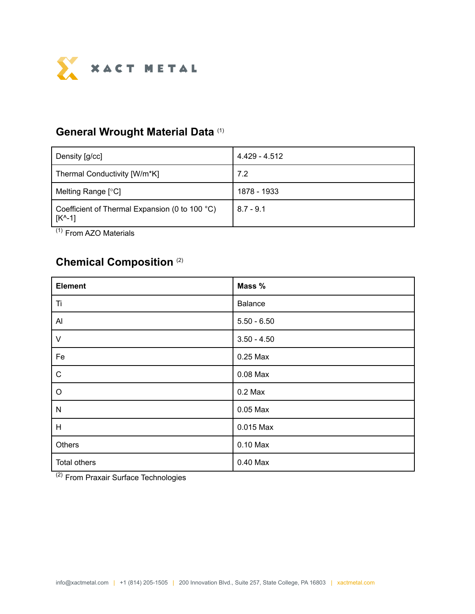

#### **General Wrought Material Data** (1)

| Density [g/cc]                                                       | 4.429 - 4.512 |
|----------------------------------------------------------------------|---------------|
| Thermal Conductivity [W/m*K]                                         | 7.2           |
| Melting Range [°C]                                                   | 1878 - 1933   |
| Coefficient of Thermal Expansion (0 to 100 °C)<br>$[K^{\wedge} - 1]$ | $8.7 - 9.1$   |

(1) From AZO Materials

#### **Chemical Composition** (2)

| <b>Element</b> | Mass %        |
|----------------|---------------|
| Ti             | Balance       |
| $\mathsf{Al}$  | $5.50 - 6.50$ |
| $\vee$         | $3.50 - 4.50$ |
| Fe             | 0.25 Max      |
| ${\bf C}$      | 0.08 Max      |
| $\mathsf O$    | $0.2$ Max     |
| $\mathsf{N}$   | $0.05$ Max    |
| H              | 0.015 Max     |
| Others         | 0.10 Max      |
| Total others   | 0.40 Max      |

<sup>(2)</sup> From Praxair Surface Technologies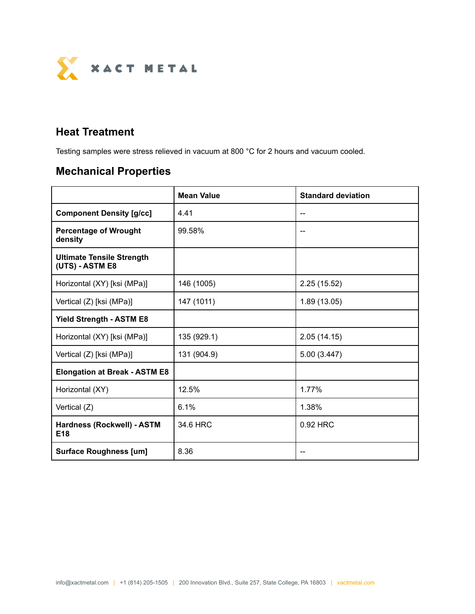

### **Heat Treatment**

Testing samples were stress relieved in vacuum at 800 °C for 2 hours and vacuum cooled.

# **Mechanical Properties**

|                                                     | <b>Mean Value</b> | <b>Standard deviation</b> |  |
|-----------------------------------------------------|-------------------|---------------------------|--|
| <b>Component Density [g/cc]</b>                     | 4.41              |                           |  |
| <b>Percentage of Wrought</b><br>density             | 99.58%            |                           |  |
| <b>Ultimate Tensile Strength</b><br>(UTS) - ASTM E8 |                   |                           |  |
| Horizontal (XY) [ksi (MPa)]                         | 146 (1005)        | 2.25(15.52)               |  |
| Vertical (Z) [ksi (MPa)]                            | 147 (1011)        | 1.89(13.05)               |  |
| <b>Yield Strength - ASTM E8</b>                     |                   |                           |  |
| Horizontal (XY) [ksi (MPa)]                         | 135 (929.1)       | 2.05(14.15)               |  |
| Vertical (Z) [ksi (MPa)]                            | 131 (904.9)       | 5.00 (3.447)              |  |
| <b>Elongation at Break - ASTM E8</b>                |                   |                           |  |
| Horizontal (XY)                                     | 12.5%             | 1.77%                     |  |
| Vertical (Z)                                        | 6.1%              | 1.38%                     |  |
| Hardness (Rockwell) - ASTM<br>E <sub>18</sub>       | 34.6 HRC          | 0.92 HRC                  |  |
| <b>Surface Roughness [um]</b>                       | 8.36              |                           |  |